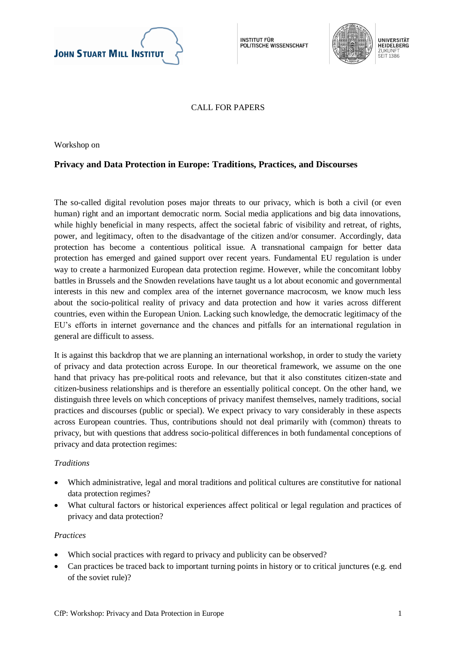

**INSTITUT FÜR** POLITISCHE WISSENSCHAFT



CALL FOR PAPERS

Workshop on

## **Privacy and Data Protection in Europe: Traditions, Practices, and Discourses**

The so-called digital revolution poses major threats to our privacy, which is both a civil (or even human) right and an important democratic norm. Social media applications and big data innovations, while highly beneficial in many respects, affect the societal fabric of visibility and retreat, of rights, power, and legitimacy, often to the disadvantage of the citizen and/or consumer. Accordingly, data protection has become a contentious political issue. A transnational campaign for better data protection has emerged and gained support over recent years. Fundamental EU regulation is under way to create a harmonized European data protection regime. However, while the concomitant lobby battles in Brussels and the Snowden revelations have taught us a lot about economic and governmental interests in this new and complex area of the internet governance macrocosm, we know much less about the socio-political reality of privacy and data protection and how it varies across different countries, even within the European Union. Lacking such knowledge, the democratic legitimacy of the EU's efforts in internet governance and the chances and pitfalls for an international regulation in general are difficult to assess.

It is against this backdrop that we are planning an international workshop, in order to study the variety of privacy and data protection across Europe. In our theoretical framework, we assume on the one hand that privacy has pre-political roots and relevance, but that it also constitutes citizen-state and citizen-business relationships and is therefore an essentially political concept. On the other hand, we distinguish three levels on which conceptions of privacy manifest themselves, namely traditions, social practices and discourses (public or special). We expect privacy to vary considerably in these aspects across European countries. Thus, contributions should not deal primarily with (common) threats to privacy, but with questions that address socio-political differences in both fundamental conceptions of privacy and data protection regimes:

## *Traditions*

- Which administrative, legal and moral traditions and political cultures are constitutive for national data protection regimes?
- What cultural factors or historical experiences affect political or legal regulation and practices of privacy and data protection?

## *Practices*

- Which social practices with regard to privacy and publicity can be observed?
- Can practices be traced back to important turning points in history or to critical junctures (e.g. end of the soviet rule)?